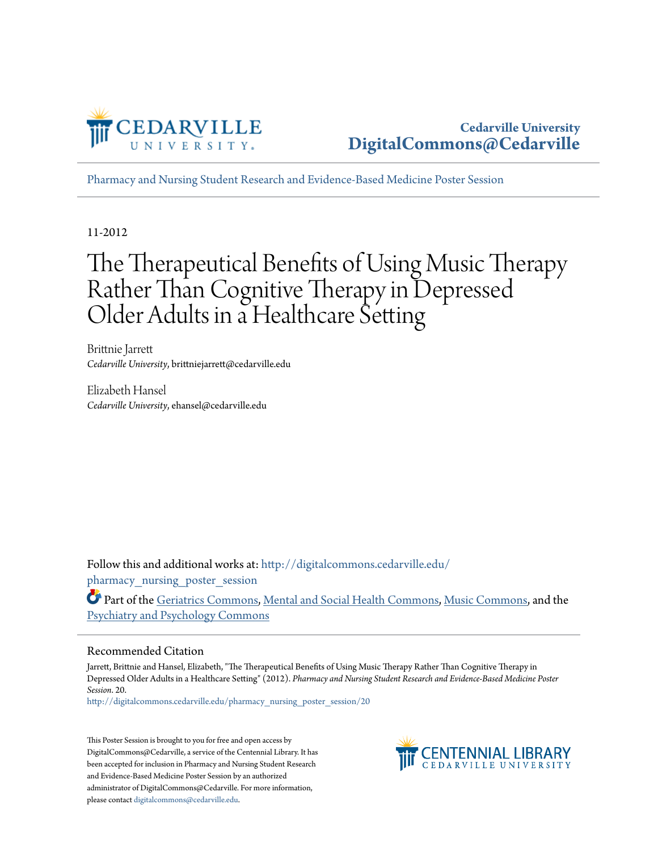

[Pharmacy and Nursing Student Research and Evidence-Based Medicine Poster Session](http://digitalcommons.cedarville.edu/pharmacy_nursing_poster_session?utm_source=digitalcommons.cedarville.edu%2Fpharmacy_nursing_poster_session%2F20&utm_medium=PDF&utm_campaign=PDFCoverPages)

11-2012

#### The Therapeutical Benefits of Using Music Therapy Rather Than Cognitive Therapy in Depressed Older Adults in a Healthcare Setting

Brittnie Jarrett *Cedarville University*, brittniejarrett@cedarville.edu

Elizabeth Hansel *Cedarville University*, ehansel@cedarville.edu

Follow this and additional works at: [http://digitalcommons.cedarville.edu/](http://digitalcommons.cedarville.edu/pharmacy_nursing_poster_session?utm_source=digitalcommons.cedarville.edu%2Fpharmacy_nursing_poster_session%2F20&utm_medium=PDF&utm_campaign=PDFCoverPages) pharmacy nursing poster session

Part of the [Geriatrics Commons](http://network.bepress.com/hgg/discipline/688?utm_source=digitalcommons.cedarville.edu%2Fpharmacy_nursing_poster_session%2F20&utm_medium=PDF&utm_campaign=PDFCoverPages), [Mental and Social Health Commons](http://network.bepress.com/hgg/discipline/709?utm_source=digitalcommons.cedarville.edu%2Fpharmacy_nursing_poster_session%2F20&utm_medium=PDF&utm_campaign=PDFCoverPages), [Music Commons,](http://network.bepress.com/hgg/discipline/518?utm_source=digitalcommons.cedarville.edu%2Fpharmacy_nursing_poster_session%2F20&utm_medium=PDF&utm_campaign=PDFCoverPages) and the [Psychiatry and Psychology Commons](http://network.bepress.com/hgg/discipline/908?utm_source=digitalcommons.cedarville.edu%2Fpharmacy_nursing_poster_session%2F20&utm_medium=PDF&utm_campaign=PDFCoverPages)

#### Recommended Citation

Jarrett, Brittnie and Hansel, Elizabeth, "The Therapeutical Benefits of Using Music Therapy Rather Than Cognitive Therapy in Depressed Older Adults in a Healthcare Setting" (2012). *Pharmacy and Nursing Student Research and Evidence-Based Medicine Poster Session*. 20.

[http://digitalcommons.cedarville.edu/pharmacy\\_nursing\\_poster\\_session/20](http://digitalcommons.cedarville.edu/pharmacy_nursing_poster_session/20?utm_source=digitalcommons.cedarville.edu%2Fpharmacy_nursing_poster_session%2F20&utm_medium=PDF&utm_campaign=PDFCoverPages)

This Poster Session is brought to you for free and open access by DigitalCommons@Cedarville, a service of the Centennial Library. It has been accepted for inclusion in Pharmacy and Nursing Student Research and Evidence-Based Medicine Poster Session by an authorized administrator of DigitalCommons@Cedarville. For more information, please contact [digitalcommons@cedarville.edu.](mailto:digitalcommons@cedarville.edu)